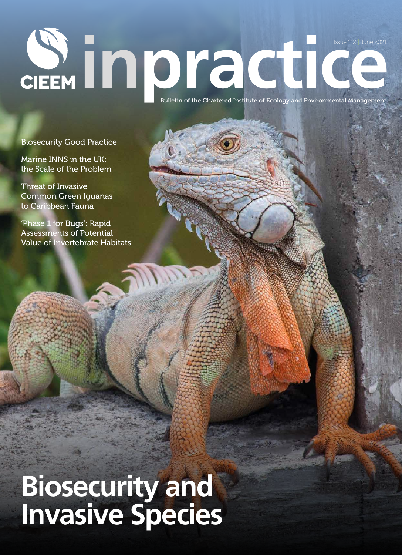# **ISSUE LIZEN Bulletin of the Chartered Institute of Ecology and Environmental Management** Issue 112 | June 2021

Biosecurity Good Practice

Marine INNS in the UK: the Scale of the Problem

Threat of Invasive Common Green Iguanas to Caribbean Fauna

'Phase 1 for Bugs': Rapid Assessments of Potential Value of Invertebrate Habitats

## **Biosecurity and Invasive Species**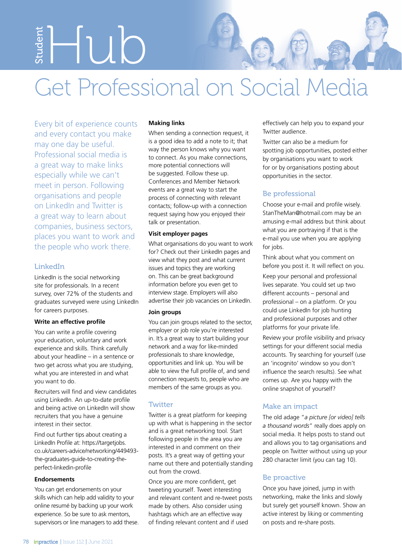Student Hub

### Get Professional on Social Media

Every bit of experience counts and every contact you make may one day be useful. Professional social media is a great way to make links especially while we can't meet in person. Following organisations and people on LinkedIn and Twitter is a great way to learn about companies, business sectors, places you want to work and the people who work there.

#### LinkedIn

LinkedIn is the social networking site for professionals. In a recent survey, over 72% of the students and graduates surveyed were using LinkedIn for careers purposes.

#### **Write an effective profile**

You can write a profile covering your education, voluntary and work experience and skills. Think carefully about your headline – in a sentence or two get across what you are studying, what you are interested in and what you want to do.

Recruiters will find and view candidates using LinkedIn. An up-to-date profile and being active on LinkedIn will show recruiters that you have a genuine interest in their sector.

Find out further tips about creating a LinkedIn Profile at: https://targetjobs. co.uk/careers-advice/networking/449493 the-graduates-guide-to-creating-theperfect-linkedin-profile

#### **Endorsements**

You can get endorsements on your skills which can help add validity to your online resumé by backing up your work experience. So be sure to ask mentors, supervisors or line managers to add these.

#### **Making links**

When sending a connection request, it is a good idea to add a note to it; that way the person knows why you want to connect. As you make connections, more potential connections will be suggested. Follow these up. Conferences and Member Network events are a great way to start the process of connecting with relevant contacts; follow-up with a connection request saying how you enjoyed their talk or presentation.

#### **Visit employer pages**

What organisations do you want to work for? Check out their LinkedIn pages and view what they post and what current issues and topics they are working on. This can be great background information before you even get to interview stage. Employers will also advertise their job vacancies on LinkedIn.

#### **Join groups**

You can join groups related to the sector, employer or job role you're interested in. It's a great way to start building your network and a way for like-minded professionals to share knowledge, opportunities and link up. You will be able to view the full profile of, and send connection requests to, people who are members of the same groups as you.

#### **Twitter**

Twitter is a great platform for keeping up with what is happening in the sector and is a great networking tool. Start following people in the area you are interested in and comment on their posts. It's a great way of getting your name out there and potentially standing out from the crowd.

Once you are more confident, get tweeting yourself. Tweet interesting and relevant content and re-tweet posts made by others. Also consider using hashtags which are an effective way of finding relevant content and if used

effectively can help you to expand your Twitter audience.

Twitter can also be a medium for spotting job opportunities, posted either by organisations you want to work for or by organisations posting about opportunities in the sector.

#### Be professional

Choose your e-mail and profile wisely. StanTheMan@hotmail.com may be an amusing e-mail address but think about what you are portraying if that is the e-mail you use when you are applying for jobs.

Think about what you comment on before you post it. It will reflect on you.

Keep your personal and professional lives separate. You could set up two different accounts – personal and professional – on a platform. Or you could use LinkedIn for job hunting and professional purposes and other platforms for your private life.

Review your profile visibility and privacy settings for your different social media accounts. Try searching for yourself (use an 'incognito' window so you don't influence the search results). See what comes up. Are you happy with the online snapshot of yourself?

#### Make an impact

The old adage "*a picture [or video] tells a thousand words*" really does apply on social media. It helps posts to stand out and allows you to tag organisations and people on Twitter without using up your 280 character limit (you can tag 10).

#### Be proactive

Once you have joined, jump in with networking, make the links and slowly but surely get yourself known. Show an active interest by liking or commenting on posts and re-share posts.